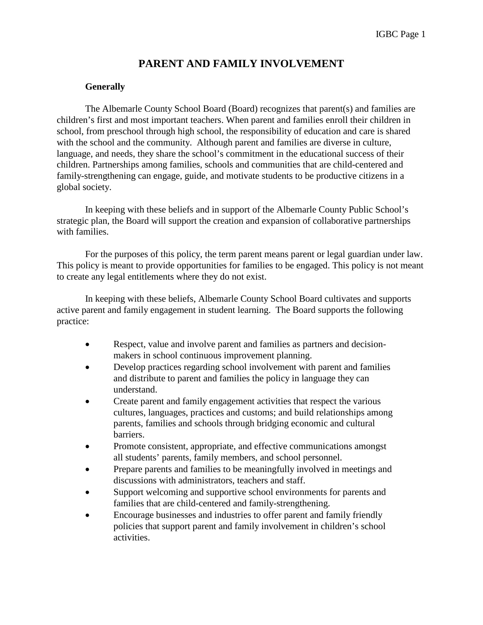# **PARENT AND FAMILY INVOLVEMENT**

#### **Generally**

The Albemarle County School Board (Board) recognizes that parent(s) and families are children's first and most important teachers. When parent and families enroll their children in school, from preschool through high school, the responsibility of education and care is shared with the school and the community. Although parent and families are diverse in culture, language, and needs, they share the school's commitment in the educational success of their children. Partnerships among families, schools and communities that are child-centered and family-strengthening can engage, guide, and motivate students to be productive citizens in a global society.

In keeping with these beliefs and in support of the Albemarle County Public School's strategic plan, the Board will support the creation and expansion of collaborative partnerships with families.

For the purposes of this policy, the term parent means parent or legal guardian under law. This policy is meant to provide opportunities for families to be engaged. This policy is not meant to create any legal entitlements where they do not exist.

In keeping with these beliefs, Albemarle County School Board cultivates and supports active parent and family engagement in student learning. The Board supports the following practice:

- Respect, value and involve parent and families as partners and decisionmakers in school continuous improvement planning.
- Develop practices regarding school involvement with parent and families and distribute to parent and families the policy in language they can understand.
- Create parent and family engagement activities that respect the various cultures, languages, practices and customs; and build relationships among parents, families and schools through bridging economic and cultural barriers.
- Promote consistent, appropriate, and effective communications amongst all students' parents, family members, and school personnel.
- Prepare parents and families to be meaningfully involved in meetings and discussions with administrators, teachers and staff.
- Support welcoming and supportive school environments for parents and families that are child-centered and family-strengthening.
- Encourage businesses and industries to offer parent and family friendly policies that support parent and family involvement in children's school activities.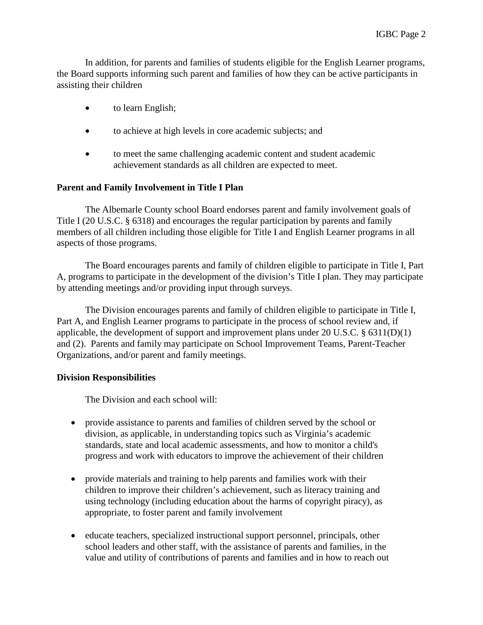In addition, for parents and families of students eligible for the English Learner programs, the Board supports informing such parent and families of how they can be active participants in assisting their children

- to learn English;
- to achieve at high levels in core academic subjects; and
- to meet the same challenging academic content and student academic achievement standards as all children are expected to meet.

## **Parent and Family Involvement in Title I Plan**

The Albemarle County school Board endorses parent and family involvement goals of Title I (20 U.S.C. § 6318) and encourages the regular participation by parents and family members of all children including those eligible for Title I and English Learner programs in all aspects of those programs.

The Board encourages parents and family of children eligible to participate in Title I, Part A, programs to participate in the development of the division's Title I plan. They may participate by attending meetings and/or providing input through surveys.

The Division encourages parents and family of children eligible to participate in Title I, Part A, and English Learner programs to participate in the process of school review and, if applicable, the development of support and improvement plans under 20 U.S.C. § 6311(D)(1) and (2). Parents and family may participate on School Improvement Teams, Parent-Teacher Organizations, and/or parent and family meetings.

### **Division Responsibilities**

The Division and each school will:

- provide assistance to parents and families of children served by the school or division, as applicable, in understanding topics such as Virginia's academic standards, state and local academic assessments, and how to monitor a child's progress and work with educators to improve the achievement of their children
- provide materials and training to help parents and families work with their children to improve their children's achievement, such as literacy training and using technology (including education about the harms of copyright piracy), as appropriate, to foster parent and family involvement
- educate teachers, specialized instructional support personnel, principals, other school leaders and other staff, with the assistance of parents and families, in the value and utility of contributions of parents and families and in how to reach out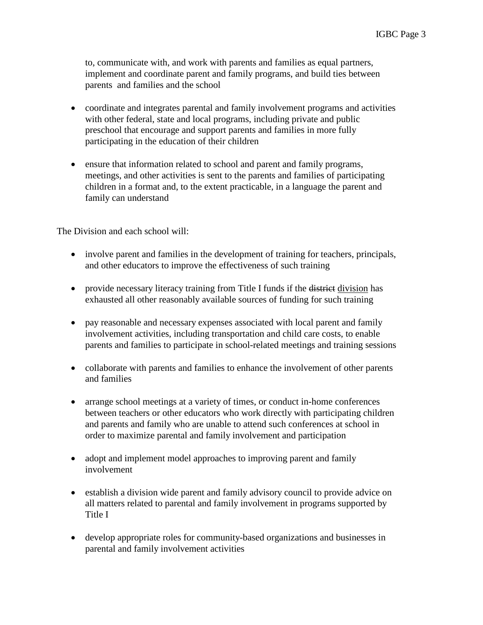to, communicate with, and work with parents and families as equal partners, implement and coordinate parent and family programs, and build ties between parents and families and the school

- coordinate and integrates parental and family involvement programs and activities with other federal, state and local programs, including private and public preschool that encourage and support parents and families in more fully participating in the education of their children
- ensure that information related to school and parent and family programs, meetings, and other activities is sent to the parents and families of participating children in a format and, to the extent practicable, in a language the parent and family can understand

The Division and each school will:

- involve parent and families in the development of training for teachers, principals, and other educators to improve the effectiveness of such training
- provide necessary literacy training from Title I funds if the <del>district</del> division has exhausted all other reasonably available sources of funding for such training
- pay reasonable and necessary expenses associated with local parent and family involvement activities, including transportation and child care costs, to enable parents and families to participate in school-related meetings and training sessions
- collaborate with parents and families to enhance the involvement of other parents and families
- arrange school meetings at a variety of times, or conduct in-home conferences between teachers or other educators who work directly with participating children and parents and family who are unable to attend such conferences at school in order to maximize parental and family involvement and participation
- adopt and implement model approaches to improving parent and family involvement
- establish a division wide parent and family advisory council to provide advice on all matters related to parental and family involvement in programs supported by Title I
- develop appropriate roles for community-based organizations and businesses in parental and family involvement activities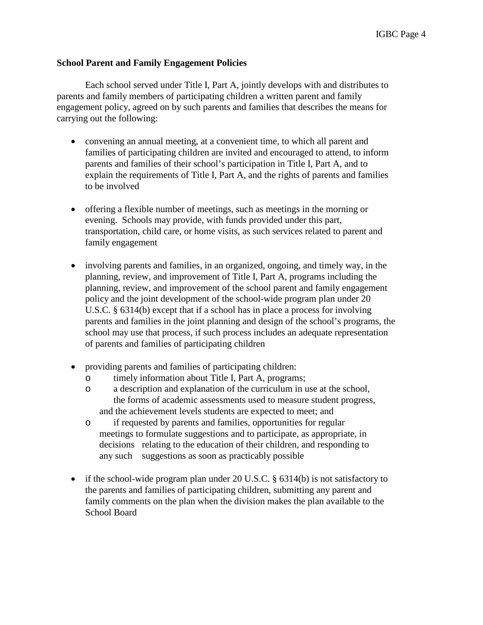### **School Parent and Family Engagement Policies**

Each school served under Title I, Part A, jointly develops with and distributes to parents and family members of participating children a written parent and family engagement policy, agreed on by such parents and families that describes the means for carrying out the following:

- convening an annual meeting, at a convenient time, to which all parent and families of participating children are invited and encouraged to attend, to inform parents and families of their school's participation in Title I, Part A, and to explain the requirements of Title I, Part A, and the rights of parents and families to be involved
- offering a flexible number of meetings, such as meetings in the morning or evening. Schools may provide, with funds provided under this part, transportation, child care, or home visits, as such services related to parent and family engagement
- involving parents and families, in an organized, ongoing, and timely way, in the planning, review, and improvement of Title I, Part A, programs including the planning, review, and improvement of the school parent and family engagement policy and the joint development of the school-wide program plan under 20 U.S.C. § 6314(b) except that if a school has in place a process for involving parents and families in the joint planning and design of the school's programs, the school may use that process, if such process includes an adequate representation of parents and families of participating children
- providing parents and families of participating children:
	- o timely information about Title I, Part A, programs;
	- o a description and explanation of the curriculum in use at the school, the forms of academic assessments used to measure student progress, and the achievement levels students are expected to meet; and
	- o if requested by parents and families, opportunities for regular meetings to formulate suggestions and to participate, as appropriate, in decisions relating to the education of their children, and responding to any such suggestions as soon as practicably possible
- if the school-wide program plan under 20 U.S.C.  $\S$  6314(b) is not satisfactory to the parents and families of participating children, submitting any parent and family comments on the plan when the division makes the plan available to the School Board